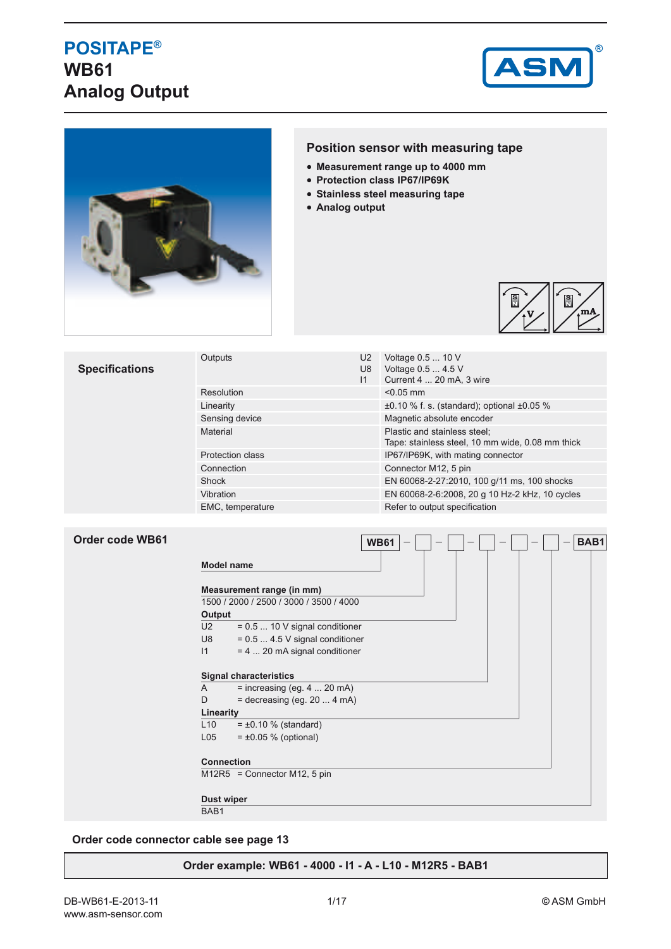## **POSITAPE® WB61 Analog Output**





## **Position sensor with measuring tape**

- **Measurement range up to 4000 mm**
- **Protection class IP67/IP69K**
- **Stainless steel measuring tape**
- **Analog output**



| Resolution<br>$< 0.05$ mm<br>$\pm 0.10$ % f. s. (standard); optional $\pm 0.05$ %<br>Linearity<br>Magnetic absolute encoder<br>Sensing device<br>Plastic and stainless steel;<br>Material<br>Tape: stainless steel, 10 mm wide, 0.08 mm thick<br>IP67/IP69K, with mating connector<br><b>Protection class</b><br>Connector M12, 5 pin<br>Connection<br>EN 60068-2-27:2010, 100 g/11 ms, 100 shocks<br>Shock<br>EN 60068-2-6:2008, 20 g 10 Hz-2 kHz, 10 cycles<br>Vibration | <b>Specifications</b> | Outputs          | U2<br>U8<br>$\mathsf{I}$ | Voltage 0.5  10 V<br>Voltage 0.5  4.5 V<br>Current 4  20 mA, 3 wire |
|----------------------------------------------------------------------------------------------------------------------------------------------------------------------------------------------------------------------------------------------------------------------------------------------------------------------------------------------------------------------------------------------------------------------------------------------------------------------------|-----------------------|------------------|--------------------------|---------------------------------------------------------------------|
|                                                                                                                                                                                                                                                                                                                                                                                                                                                                            |                       |                  |                          |                                                                     |
|                                                                                                                                                                                                                                                                                                                                                                                                                                                                            |                       |                  |                          |                                                                     |
|                                                                                                                                                                                                                                                                                                                                                                                                                                                                            |                       |                  |                          |                                                                     |
|                                                                                                                                                                                                                                                                                                                                                                                                                                                                            |                       |                  |                          |                                                                     |
|                                                                                                                                                                                                                                                                                                                                                                                                                                                                            |                       |                  |                          |                                                                     |
|                                                                                                                                                                                                                                                                                                                                                                                                                                                                            |                       |                  |                          |                                                                     |
|                                                                                                                                                                                                                                                                                                                                                                                                                                                                            |                       |                  |                          |                                                                     |
|                                                                                                                                                                                                                                                                                                                                                                                                                                                                            |                       |                  |                          |                                                                     |
|                                                                                                                                                                                                                                                                                                                                                                                                                                                                            |                       | EMC, temperature |                          | Refer to output specification                                       |

| Order code WB61 |  |  |
|-----------------|--|--|
|-----------------|--|--|

|                | Measurement range (in mm)               |  |
|----------------|-----------------------------------------|--|
|                | 1500 / 2000 / 2500 / 3000 / 3500 / 4000 |  |
| Output         |                                         |  |
| U <sub>2</sub> | $= 0.5$ 10 V signal conditioner         |  |
| U8             | $= 0.5$ 4.5 V signal conditioner        |  |
| $\mathsf{I}$   | $= 4$ 20 mA signal conditioner          |  |
|                |                                         |  |
|                | <b>Signal characteristics</b>           |  |
| A              | $=$ increasing (eg. 4  20 mA)           |  |
| D              | $=$ decreasing (eg. 20  4 mA)           |  |
| Linearity      |                                         |  |
| L10            | $= \pm 0.10 \%$ (standard)              |  |
| L05            | $= \pm 0.05$ % (optional)               |  |
|                |                                         |  |
|                | <b>Connection</b>                       |  |

BAB1

**Order code connector cable see page 13**

## **Order example: WB61 - 4000 - I1 - A - L10 - M12R5 - BAB1**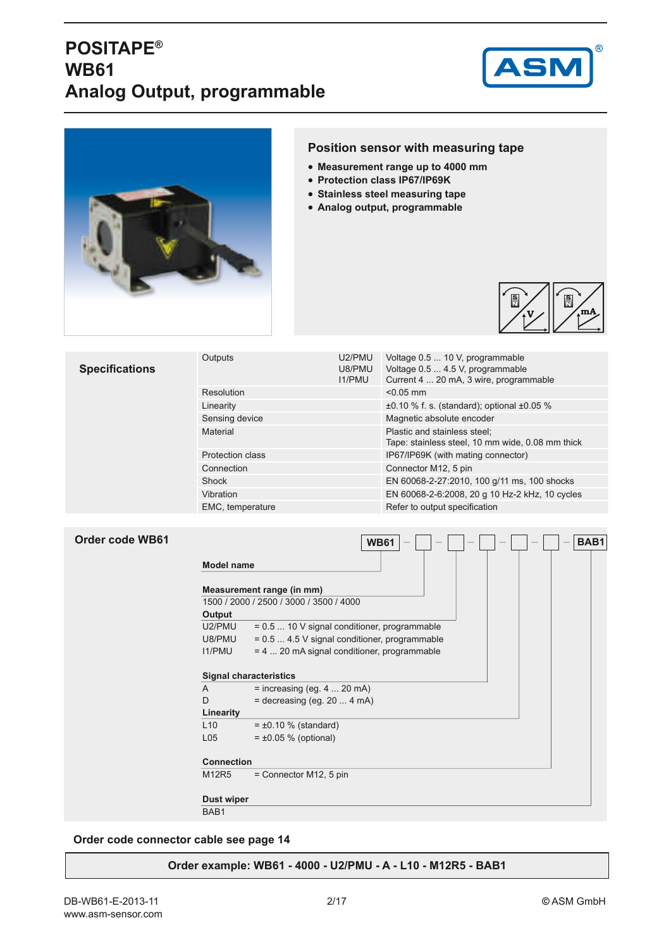## **POSITAPE® WB61 Analog Output, programmable**





## **Position sensor with measuring tape**

- **Measurement range up to 4000 mm**
- **Protection class IP67/IP69K**
- **Stainless steel measuring tape**
- **Analog output, programmable**



| <b>Specifications</b> | Outputs                 | U2/PMU<br>U8/PMU<br><b>I1/PMU</b> | Voltage 0.5  10 V, programmable<br>Voltage 0.5  4.5 V, programmable<br>Current 4  20 mA, 3 wire, programmable |  |  |  |  |
|-----------------------|-------------------------|-----------------------------------|---------------------------------------------------------------------------------------------------------------|--|--|--|--|
|                       | Resolution              |                                   | $< 0.05$ mm                                                                                                   |  |  |  |  |
|                       | Linearity               |                                   | $\pm 0.10$ % f. s. (standard); optional $\pm 0.05$ %                                                          |  |  |  |  |
|                       | Sensing device          |                                   | Magnetic absolute encoder                                                                                     |  |  |  |  |
|                       | Material                |                                   | Plastic and stainless steel;<br>Tape: stainless steel, 10 mm wide, 0.08 mm thick                              |  |  |  |  |
|                       | <b>Protection class</b> |                                   | IP67/IP69K (with mating connector)                                                                            |  |  |  |  |
|                       | Connection              |                                   | Connector M12, 5 pin                                                                                          |  |  |  |  |
|                       | Shock                   |                                   | EN 60068-2-27:2010, 100 g/11 ms, 100 shocks                                                                   |  |  |  |  |
|                       | Vibration               |                                   | EN 60068-2-6:2008, 20 g 10 Hz-2 kHz, 10 cycles                                                                |  |  |  |  |
|                       | EMC, temperature        |                                   | Refer to output specification                                                                                 |  |  |  |  |

| Order code WB61 |                   | BAB1<br><b>WB61</b>                            |
|-----------------|-------------------|------------------------------------------------|
|                 | <b>Model name</b> |                                                |
|                 |                   | Measurement range (in mm)                      |
|                 |                   | 1500 / 2000 / 2500 / 3000 / 3500 / 4000        |
|                 | Output            |                                                |
|                 | U2/PMU            | $= 0.5$ 10 V signal conditioner, programmable  |
|                 | U8/PMU            | $= 0.5$ 4.5 V signal conditioner, programmable |
|                 | <b>I1/PMU</b>     | $= 4$ 20 mA signal conditioner, programmable   |
|                 |                   | <b>Signal characteristics</b>                  |
|                 | $\mathsf{A}$      | $=$ increasing (eg. 4  20 mA)                  |
|                 | D                 | $=$ decreasing (eg. 20  4 mA)                  |
|                 | Linearity         |                                                |
|                 | L10               | $= \pm 0.10$ % (standard)                      |
|                 | L <sub>05</sub>   | $= \pm 0.05$ % (optional)                      |
|                 | <b>Connection</b> |                                                |
|                 | M12R5             | $=$ Connector M12, 5 pin                       |
|                 | Dust wiper        |                                                |
|                 | BAB1              |                                                |

### **Order code connector cable see page 14**

### **Order example: WB61 - 4000 - U2/PMU - A - L10 - M12R5 - BAB1**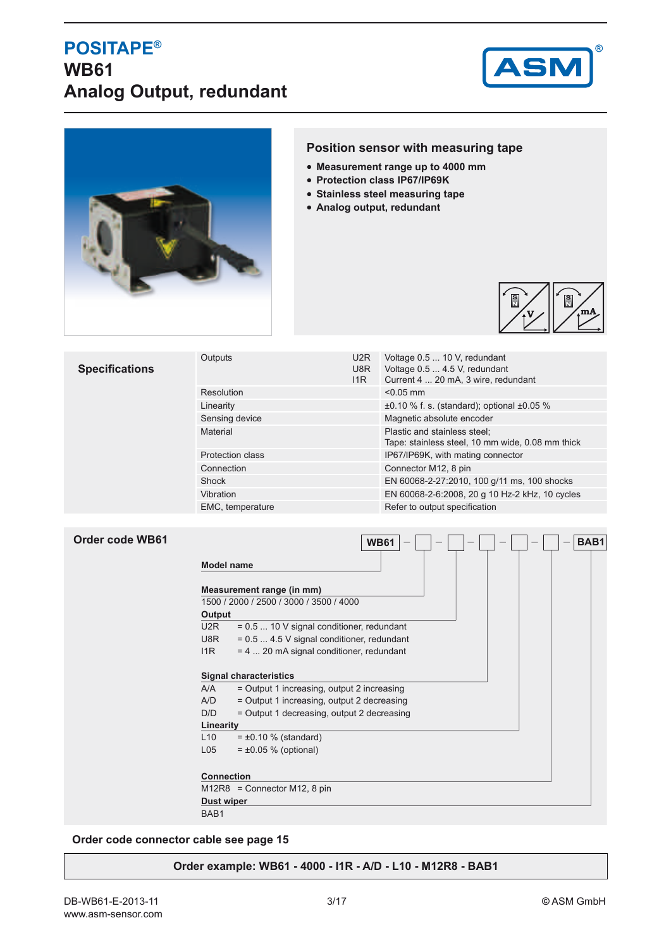## **POSITAPE® WB61 Analog Output, redundant**





## **Position sensor with measuring tape**

- **Measurement range up to 4000 mm**
- **Protection class IP67/IP69K**
- **Stainless steel measuring tape**
- **Analog output, redundant**



| <b>Specifications</b> | Outputs                 | U <sub>2</sub> R<br>U8R<br>11R | Voltage 0.5  10 V, redundant<br>Voltage 0.5  4.5 V, redundant<br>Current 4  20 mA, 3 wire, redundant |  |  |  |  |
|-----------------------|-------------------------|--------------------------------|------------------------------------------------------------------------------------------------------|--|--|--|--|
|                       | Resolution              |                                | $< 0.05$ mm                                                                                          |  |  |  |  |
|                       | Linearity               |                                | $\pm 0.10$ % f. s. (standard); optional $\pm 0.05$ %                                                 |  |  |  |  |
|                       | Sensing device          |                                | Magnetic absolute encoder                                                                            |  |  |  |  |
|                       | Material                |                                | Plastic and stainless steel;<br>Tape: stainless steel, 10 mm wide, 0.08 mm thick                     |  |  |  |  |
|                       | <b>Protection class</b> |                                | IP67/IP69K, with mating connector                                                                    |  |  |  |  |
|                       | Connection              |                                | Connector M12, 8 pin                                                                                 |  |  |  |  |
|                       | Shock                   |                                | EN 60068-2-27:2010, 100 g/11 ms, 100 shocks                                                          |  |  |  |  |
|                       | Vibration               |                                | EN 60068-2-6:2008, 20 g 10 Hz-2 kHz, 10 cycles                                                       |  |  |  |  |
|                       | EMC, temperature        |                                | Refer to output specification                                                                        |  |  |  |  |

| <b>Order code WB61</b> |                   | <b>WB61</b>                                 |  |  | BAB1 |
|------------------------|-------------------|---------------------------------------------|--|--|------|
|                        | <b>Model name</b> |                                             |  |  |      |
|                        |                   | Measurement range (in mm)                   |  |  |      |
|                        |                   | 1500 / 2000 / 2500 / 3000 / 3500 / 4000     |  |  |      |
|                        | Output            |                                             |  |  |      |
|                        | U <sub>2</sub> R  | $= 0.5$ 10 V signal conditioner, redundant  |  |  |      |
|                        | U8R               | $= 0.5$ 4.5 V signal conditioner, redundant |  |  |      |
|                        | 11R               | $= 4$ 20 mA signal conditioner, redundant   |  |  |      |
|                        |                   |                                             |  |  |      |
|                        |                   | <b>Signal characteristics</b>               |  |  |      |
|                        | A/A               | = Output 1 increasing, output 2 increasing  |  |  |      |
|                        | A/D               | = Output 1 increasing, output 2 decreasing  |  |  |      |
|                        | D/D               | = Output 1 decreasing, output 2 decreasing  |  |  |      |
|                        | Linearity         |                                             |  |  |      |
|                        | L10               | $= \pm 0.10$ % (standard)                   |  |  |      |
|                        | L <sub>05</sub>   | $= \pm 0.05$ % (optional)                   |  |  |      |
|                        |                   |                                             |  |  |      |
|                        | <b>Connection</b> |                                             |  |  |      |
|                        |                   | $M12R8 =$ Connector M12, 8 pin              |  |  |      |
|                        | Dust wiper        |                                             |  |  |      |
|                        | BAB1              |                                             |  |  |      |

**Order code connector cable see page 15**

### **Order example: WB61 - 4000 - I1R - A/D - L10 - M12R8 - BAB1**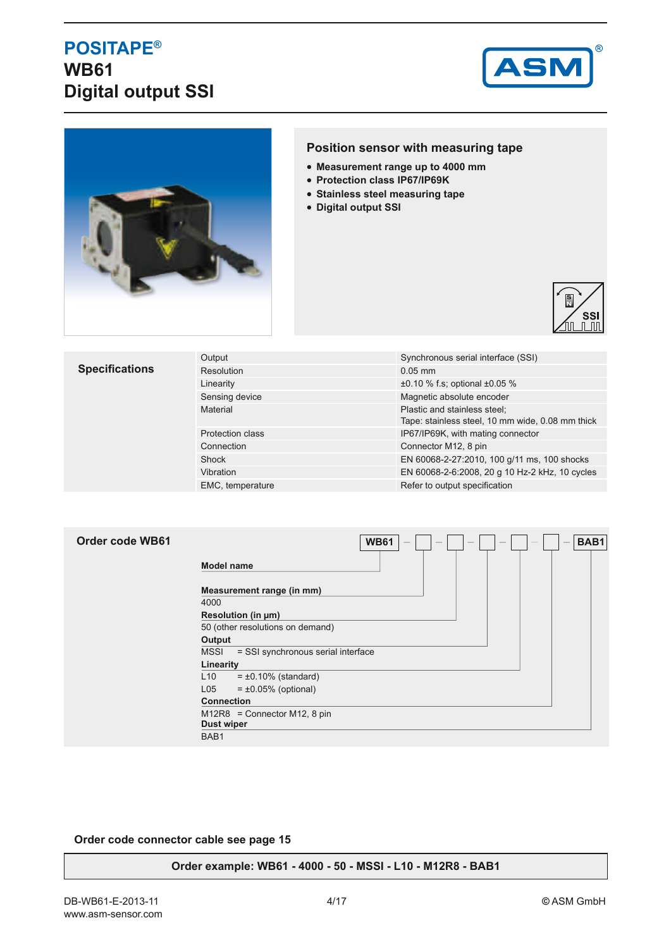## **POSITAPE® WB61 Digital output SSI**





## **Position sensor with measuring tape**

- **Measurement range up to 4000 mm**
- **Protection class IP67/IP69K**
- **Stainless steel measuring tape**
- **Digital output SSI**



| <b>Specifications</b> | Output                  | Synchronous serial interface (SSI)                                               |  |  |  |
|-----------------------|-------------------------|----------------------------------------------------------------------------------|--|--|--|
|                       | Resolution              | $0.05$ mm                                                                        |  |  |  |
|                       | Linearity               | $\pm 0.10$ % f.s; optional $\pm 0.05$ %                                          |  |  |  |
|                       | Sensing device          | Magnetic absolute encoder                                                        |  |  |  |
|                       | Material                | Plastic and stainless steel;<br>Tape: stainless steel, 10 mm wide, 0.08 mm thick |  |  |  |
|                       | <b>Protection class</b> | IP67/IP69K, with mating connector                                                |  |  |  |
|                       | Connection              | Connector M12, 8 pin                                                             |  |  |  |
|                       | Shock                   | EN 60068-2-27:2010, 100 g/11 ms, 100 shocks                                      |  |  |  |
|                       | Vibration               | EN 60068-2-6:2008, 20 g 10 Hz-2 kHz, 10 cycles                                   |  |  |  |
|                       | EMC, temperature        | Refer to output specification                                                    |  |  |  |

| Order code WB61 | <b>WB61</b><br>BAB1<br>$\hspace{0.1mm}-\hspace{0.1mm}$ |
|-----------------|--------------------------------------------------------|
|                 | <b>Model name</b>                                      |
|                 | Measurement range (in mm)<br>4000                      |
|                 | Resolution (in µm)                                     |
|                 | 50 (other resolutions on demand)                       |
|                 | Output                                                 |
|                 | <b>MSSI</b><br>= SSI synchronous serial interface      |
|                 | Linearity                                              |
|                 | $= \pm 0.10\%$ (standard)<br>L10                       |
|                 | L <sub>05</sub><br>$= \pm 0.05\%$ (optional)           |
|                 | <b>Connection</b>                                      |
|                 | $M12R8 =$ Connector M12, 8 pin<br><b>Dust wiper</b>    |
|                 | BAB1                                                   |

### **Order code connector cable see page 15**

### **Order example: WB61 - 4000 - 50 - MSSI - L10 - M12R8 - BAB1**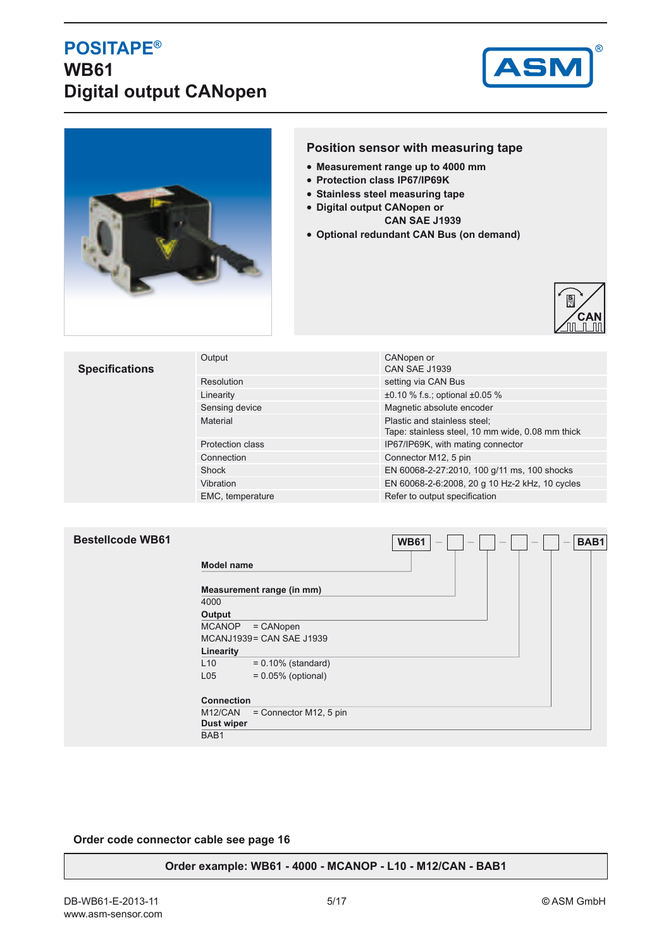## **POSITAPE® WB61 Digital output CANopen**





## **Position sensor with measuring tape**

- **Measurement range up to 4000 mm**
- **Protection class IP67/IP69K**
- **Stainless steel measuring tape**
- **Digital output CANopen or** 
	- **CAN SAE J1939**
- **Optional redundant CAN Bus (on demand)**



| <b>Specifications</b> | Output                  | CANopen or<br><b>CAN SAE J1939</b>                                               |
|-----------------------|-------------------------|----------------------------------------------------------------------------------|
|                       | Resolution              | setting via CAN Bus                                                              |
|                       | Linearity               | $\pm 0.10$ % f.s.; optional $\pm 0.05$ %                                         |
|                       | Sensing device          | Magnetic absolute encoder                                                        |
|                       | Material                | Plastic and stainless steel;<br>Tape: stainless steel, 10 mm wide, 0.08 mm thick |
|                       | <b>Protection class</b> | IP67/IP69K, with mating connector                                                |
|                       | Connection              | Connector M12, 5 pin                                                             |
|                       | Shock                   | EN 60068-2-27:2010, 100 g/11 ms, 100 shocks                                      |
|                       | Vibration               | EN 60068-2-6:2008, 20 g 10 Hz-2 kHz, 10 cycles                                   |
|                       | EMC, temperature        | Refer to output specification                                                    |

### **Bestellcode WB61**

|                   |                           | . |  |  |  | --- |
|-------------------|---------------------------|---|--|--|--|-----|
| <b>Model name</b> |                           |   |  |  |  |     |
|                   | Measurement range (in mm) |   |  |  |  |     |
| 4000              |                           |   |  |  |  |     |
| Output            |                           |   |  |  |  |     |
| <b>MCANOP</b>     | $=$ CANopen               |   |  |  |  |     |
|                   | MCANJ1939 = CAN SAE J1939 |   |  |  |  |     |
| Linearity         |                           |   |  |  |  |     |
| L10               | $= 0.10\%$ (standard)     |   |  |  |  |     |
| L <sub>05</sub>   | $= 0.05\%$ (optional)     |   |  |  |  |     |
| <b>Connection</b> |                           |   |  |  |  |     |
| M12/CAN           | $=$ Connector M12, 5 pin  |   |  |  |  |     |
| <b>Dust wiper</b> |                           |   |  |  |  |     |
| BAB <sub>1</sub>  |                           |   |  |  |  |     |

 $WBB1 = \square = \square = \square = \square = \square$ 

### **Order code connector cable see page 16**

### **Order example: WB61 - 4000 - MCANOP - L10 - M12/CAN - BAB1**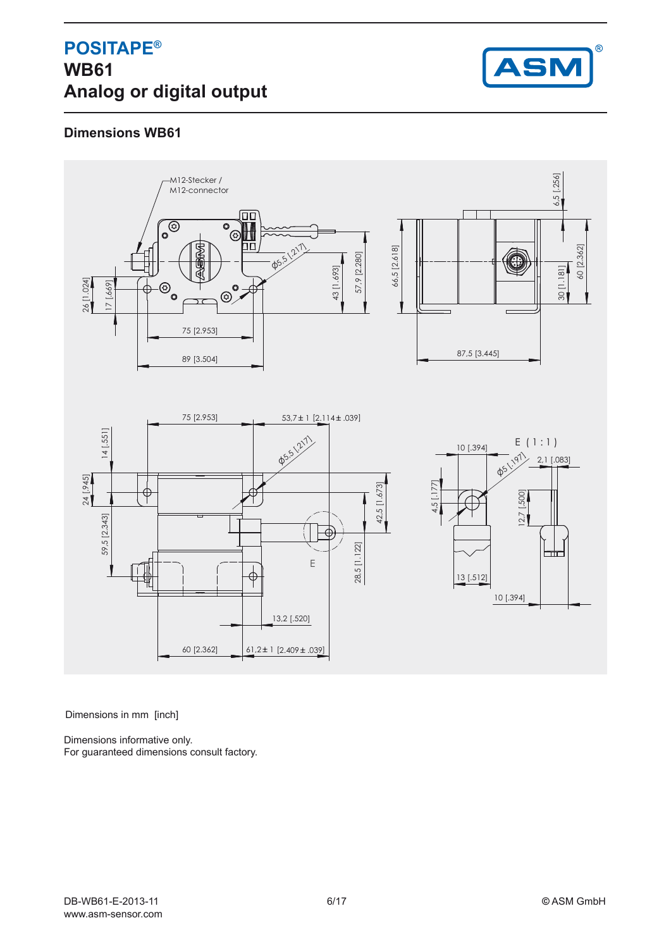

## **Dimensions WB61**



Dimensions in mm [inch]

Dimensions informative only. For guaranteed dimensions consult factory.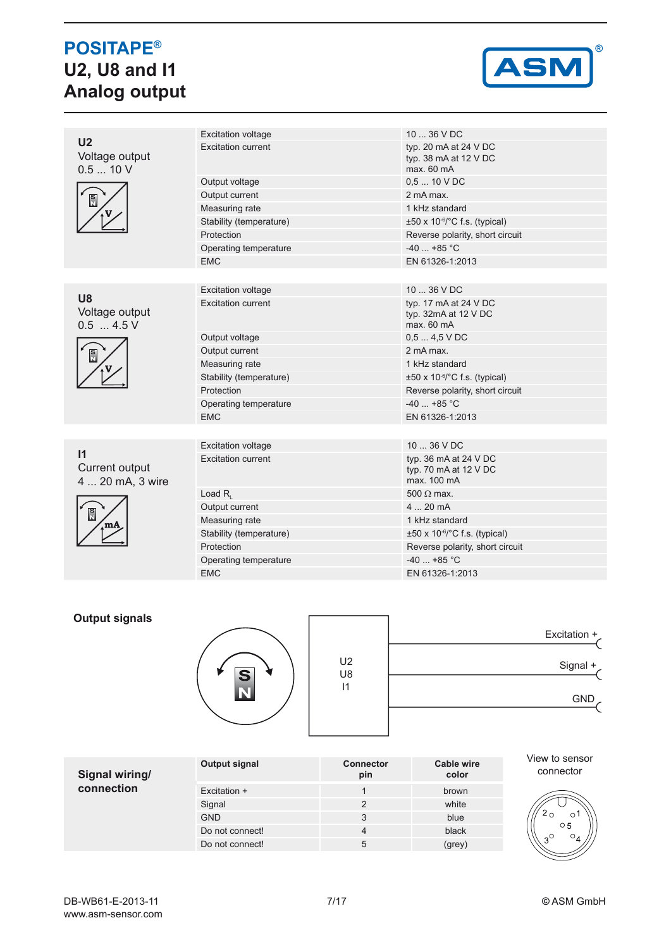# **POSITAPE® U2, U8 and I1 Analog output**



| U <sub>2</sub>                                              | <b>Excitation voltage</b> | $1036$ VDC                                                        |  |  |  |  |
|-------------------------------------------------------------|---------------------------|-------------------------------------------------------------------|--|--|--|--|
| Voltage output<br>0.510V                                    | Excitation current        | typ. 20 mA at 24 V DC<br>typ. 38 $mA$ at 12 V DC<br>max. 60 mA    |  |  |  |  |
|                                                             | Output voltage            | $0,510$ V DC                                                      |  |  |  |  |
| $\frac{S}{N}$                                               | Output current            | 2 mA max.                                                         |  |  |  |  |
|                                                             | Measuring rate            | 1 kHz standard                                                    |  |  |  |  |
|                                                             | Stability (temperature)   | $\pm 50 \times 10^{-6}$ C f.s. (typical)                          |  |  |  |  |
|                                                             | Protection                | Reverse polarity, short circuit                                   |  |  |  |  |
|                                                             | Operating temperature     | $-40$ +85 °C                                                      |  |  |  |  |
|                                                             | <b>EMC</b>                | EN 61326-1:2013                                                   |  |  |  |  |
|                                                             |                           |                                                                   |  |  |  |  |
|                                                             | <b>Excitation voltage</b> | $1036$ V DC                                                       |  |  |  |  |
| <b>U8</b><br>Voltage output<br>$0.5$ 4.5 V<br>$\frac{S}{N}$ | <b>Excitation current</b> | typ. 17 mA at 24 V DC<br>typ. 32mA at 12 V DC<br>max. 60 mA       |  |  |  |  |
|                                                             | Output voltage            | $0.54.5$ VDC                                                      |  |  |  |  |
|                                                             | Output current            | 2 mA max.                                                         |  |  |  |  |
|                                                             | Measuring rate            | 1 kHz standard                                                    |  |  |  |  |
|                                                             | Stability (temperature)   | $\pm 50 \times 10^{-6}$ °C f.s. (typical)                         |  |  |  |  |
|                                                             | Protection                | Reverse polarity, short circuit                                   |  |  |  |  |
|                                                             | Operating temperature     | $-40+85$ °C                                                       |  |  |  |  |
|                                                             | <b>EMC</b>                | EN 61326-1:2013                                                   |  |  |  |  |
|                                                             |                           |                                                                   |  |  |  |  |
|                                                             | <b>Excitation voltage</b> | 10  36 V DC                                                       |  |  |  |  |
| $\mathsf{I}$<br>Current output<br>4  20 mA, 3 wire          | <b>Excitation current</b> | typ. 36 $mA$ at 24 $V$ DC<br>typ. 70 mA at 12 V DC<br>max. 100 mA |  |  |  |  |
|                                                             | Load $R_{1}$              | $500 \Omega$ max.                                                 |  |  |  |  |
| $\frac{S}{N}$<br>m/                                         | Output current            | 420mA                                                             |  |  |  |  |
|                                                             | Measuring rate            | 1 kHz standard                                                    |  |  |  |  |
|                                                             | Stability (temperature)   | $\pm 50 \times 10^{-6}$ C f.s. (typical)                          |  |  |  |  |
|                                                             | Protection                | Reverse polarity, short circuit                                   |  |  |  |  |
|                                                             | Operating temperature     | $-40$ +85 °C                                                      |  |  |  |  |
|                                                             | <b>EMC</b>                | EN 61326-1:2013                                                   |  |  |  |  |

## **Output signals**



| Excitation $+$ |                      |
|----------------|----------------------|
| Signal +       | U <sub>2</sub><br>U8 |
| GND            | $\mathsf{I}$         |
|                |                      |

| Signal wiring/ | Output signal   | <b>Connector</b><br>pin | Cable wire<br>color | View to sensor<br>connector          |
|----------------|-----------------|-------------------------|---------------------|--------------------------------------|
| connection     | Excitation +    |                         | brown               |                                      |
|                | Signal          |                         | white               |                                      |
|                | <b>GND</b>      | 3                       | blue                | O                                    |
|                | Do not connect! | 4                       | black               | $\circ$ 5<br>$\sim$ C<br>$\circ_{4}$ |
|                | Do not connect! | 5                       | (grey)              |                                      |

DB-WB61-E-2013-11 7/17 **©** ASM GmbH www.asm-sensor.com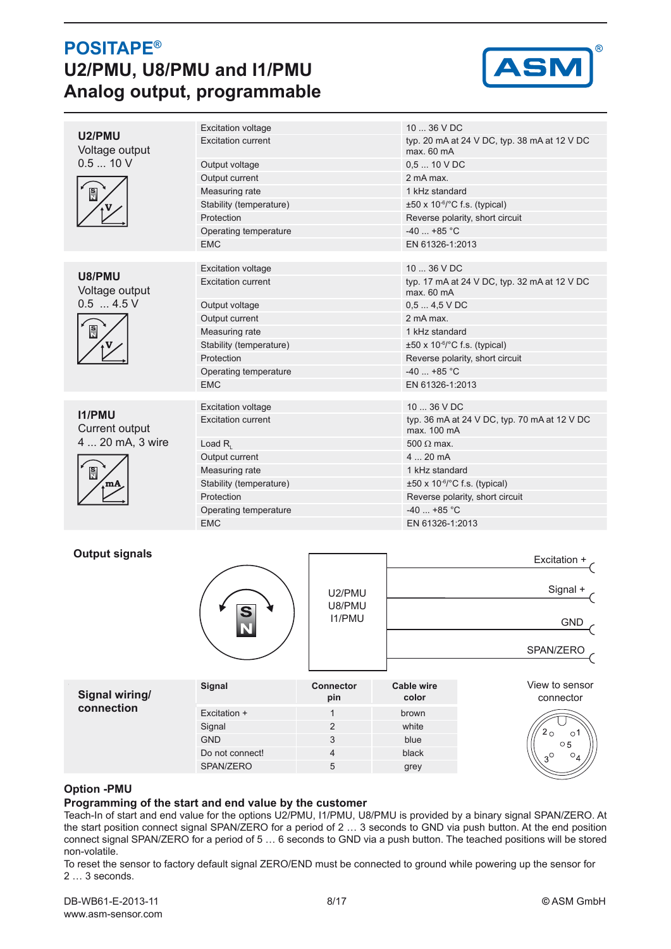## **POSITAPE® U2/PMU, U8/PMU and I1/PMU Analog output, programmable**



|                                               | <b>Excitation voltage</b> | $1036$ VDC                                                  |  |  |
|-----------------------------------------------|---------------------------|-------------------------------------------------------------|--|--|
| U2/PMU<br>Voltage output                      | <b>Excitation current</b> | typ. 20 mA at 24 V DC, typ. 38 mA at 12 V DC<br>max. 60 mA  |  |  |
| 0.510V                                        | Output voltage            | $0,510$ V DC                                                |  |  |
|                                               | Output current            | 2 mA max                                                    |  |  |
| $\frac{S}{N}$                                 | Measuring rate            | 1 kHz standard                                              |  |  |
|                                               | Stability (temperature)   | $\pm 50 \times 10^{-6}$ /°C f.s. (typical)                  |  |  |
|                                               | Protection                | Reverse polarity, short circuit                             |  |  |
|                                               | Operating temperature     | $-40 + 85$ °C                                               |  |  |
|                                               | <b>EMC</b>                | EN 61326-1:2013                                             |  |  |
|                                               |                           |                                                             |  |  |
| U8/PMU                                        | <b>Excitation voltage</b> | $1036$ V DC                                                 |  |  |
| Voltage output                                | <b>Excitation current</b> | typ. 17 mA at 24 V DC, typ. 32 mA at 12 V DC<br>max. 60 mA  |  |  |
| $0.5$ 4.5 V                                   | Output voltage            | $0,54,5 \vee DC$                                            |  |  |
|                                               | Output current            | 2 mA max                                                    |  |  |
| $\frac{S}{N}$                                 | Measuring rate            | 1 kHz standard                                              |  |  |
|                                               | Stability (temperature)   | $\pm 50 \times 10^{-6}$ C f.s. (typical)                    |  |  |
|                                               | Protection                | Reverse polarity, short circuit                             |  |  |
|                                               | Operating temperature     | $-40$ +85 °C                                                |  |  |
|                                               | <b>EMC</b>                | EN 61326-1:2013                                             |  |  |
|                                               |                           |                                                             |  |  |
| 11/PMU                                        | <b>Excitation voltage</b> | $1036$ V DC                                                 |  |  |
| Current output<br>4  20 mA, 3 wire<br>is<br>N | <b>Excitation current</b> | typ. 36 mA at 24 V DC, typ. 70 mA at 12 V DC<br>max. 100 mA |  |  |
|                                               | Load $R_{1}$              | $500 \Omega$ max.                                           |  |  |
|                                               | Output current            | 420mA                                                       |  |  |
|                                               | Measuring rate            | 1 kHz standard                                              |  |  |
| m/)                                           | Stability (temperature)   | $\pm 50 \times 10^{-6}$ C f.s. (typical)                    |  |  |
|                                               | Protection                | Reverse polarity, short circuit                             |  |  |
|                                               | Operating temperature     | $-40$ +85 °C                                                |  |  |
|                                               | <b>EMC</b>                | EN 61326-1:2013                                             |  |  |
|                                               |                           |                                                             |  |  |

### **Output signals**

|        |                                   | Excitation +                        |
|--------|-----------------------------------|-------------------------------------|
| e<br>N | U2/PMU<br>U8/PMU<br><b>I1/PMU</b> | Signal +<br><b>GND</b><br>SPAN/ZERO |
|        |                                   |                                     |

| Signal wiring/ | Signal          | <b>Connector</b><br>pin | Cable wire<br>color | View to sensor<br>connector            |
|----------------|-----------------|-------------------------|---------------------|----------------------------------------|
| connection     | Excitation +    |                         | brown               |                                        |
|                | Signal          |                         | white               |                                        |
|                | <b>GND</b>      |                         | blue                | Э<br>$\circ$ 5                         |
|                | Do not connect! | Δ                       | black               | $\sim^{\circ}$<br>$\circ$ <sub>4</sub> |
|                | SPAN/ZERO       | 5                       | grey                |                                        |

### **Option -PMU**

### **Programming of the start and end value by the customer**

Teach-In of start and end value for the options U2/PMU, I1/PMU, U8/PMU is provided by a binary signal SPAN/ZERO. At the start position connect signal SPAN/ZERO for a period of 2 … 3 seconds to GND via push button. At the end position connect signal SPAN/ZERO for a period of 5 … 6 seconds to GND via a push button. The teached positions will be stored non-volatile.

To reset the sensor to factory default signal ZERO/END must be connected to ground while powering up the sensor for 2 … 3 seconds.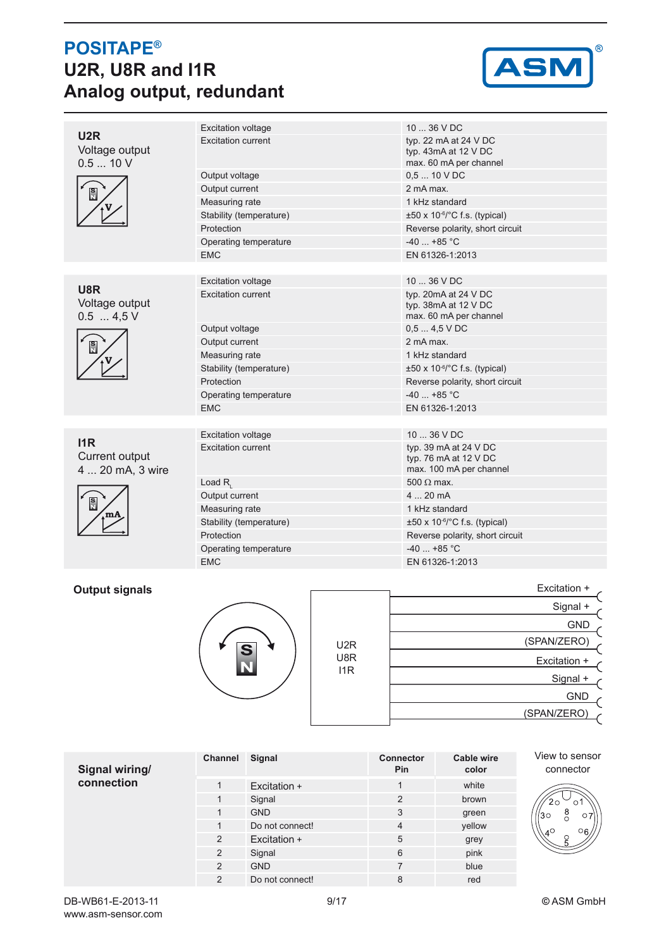# **POSITAPE® U2R, U8R and I1R Analog output, redundant**



| U2R                                  | <b>Excitation voltage</b> | 10  36 V DC                                                               |
|--------------------------------------|---------------------------|---------------------------------------------------------------------------|
| Voltage output<br>0.510V             | Excitation current        | typ. 22 mA at 24 V DC<br>typ. 43mA at 12 V DC<br>max. 60 mA per channel   |
|                                      | Output voltage            | $0.510$ V DC                                                              |
| $\frac{s}{s}$                        | Output current            | 2 mA max.                                                                 |
|                                      | Measuring rate            | 1 kHz standard                                                            |
|                                      | Stability (temperature)   | $\pm 50 \times 10^{-6}$ C f.s. (typical)                                  |
|                                      | Protection                | Reverse polarity, short circuit                                           |
|                                      | Operating temperature     | $-40$ +85 °C                                                              |
|                                      | <b>EMC</b>                | EN 61326-1:2013                                                           |
|                                      |                           |                                                                           |
|                                      | <b>Excitation voltage</b> | $1036$ VDC                                                                |
| U8R<br>Voltage output<br>$0.5$ 4,5 V | <b>Excitation current</b> | typ. 20mA at 24 V DC<br>typ. 38mA at 12 V DC<br>max. 60 mA per channel    |
|                                      | Output voltage            | $0.54.5$ VDC                                                              |
| $\frac{S}{N}$                        | Output current            | 2 mA max                                                                  |
|                                      | Measuring rate            | 1 kHz standard                                                            |
|                                      | Stability (temperature)   | $\pm 50 \times 10^{-6}$ C f.s. (typical)                                  |
|                                      | Protection                | Reverse polarity, short circuit                                           |
|                                      | Operating temperature     | $-40$ +85 °C                                                              |
|                                      | <b>EMC</b>                | EN 61326-1:2013                                                           |
|                                      |                           |                                                                           |
| 11R                                  | <b>Excitation voltage</b> | $1036$ V DC                                                               |
| Current output<br>4  20 mA, 3 wire   | Excitation current        | typ. 39 mA at 24 V DC<br>typ. 76 mA at 12 V DC<br>max. 100 mA per channel |
|                                      | Load $R_{1}$              | $500 \Omega$ max.                                                         |
|                                      | Output current            | 420mA                                                                     |
| $\frac{S}{N}$                        | Measuring rate            | 1 kHz standard                                                            |
|                                      | Stability (temperature)   | $\pm 50 \times 10^{-6}$ C f.s. (typical)                                  |
|                                      | Protection                | Reverse polarity, short circuit                                           |
|                                      | Operating temperature     | $-40$ +85 °C                                                              |
|                                      | <b>EMC</b>                | EN 61326-1:2013                                                           |
|                                      |                           |                                                                           |

## **Output signals**



|                  | Excitation + |
|------------------|--------------|
|                  | Signal +     |
|                  | <b>GND</b>   |
| U <sub>2</sub> R | (SPAN/ZERO)  |
| U8R              | Excitation + |
| I1R              | Signal +     |
|                  | <b>GND</b>   |
|                  | (SPAN/ZERO)  |
|                  |              |

| Signal wiring/ | Channel        | Signal          | <b>Connector</b><br><b>Pin</b> | <b>Cable wire</b><br>color | View to sensor<br>connector       |
|----------------|----------------|-----------------|--------------------------------|----------------------------|-----------------------------------|
| connection     |                | Excitation +    |                                | white                      |                                   |
|                |                | Signal          | $\overline{2}$                 | brown                      | Э                                 |
|                |                | <b>GND</b>      | 3                              | green                      | $\frac{8}{0}$<br>130<br>$\circ$ 7 |
|                |                | Do not connect! | 4                              | yellow                     | 06<br>$4^\circ$                   |
|                | $\overline{2}$ | Excitation +    | 5                              | grey                       | $\overline{5}$                    |
|                | $\overline{2}$ | Signal          | 6                              | pink                       |                                   |
|                | 2              | <b>GND</b>      | 7                              | blue                       |                                   |
|                | 2              | Do not connect! | 8                              | red                        |                                   |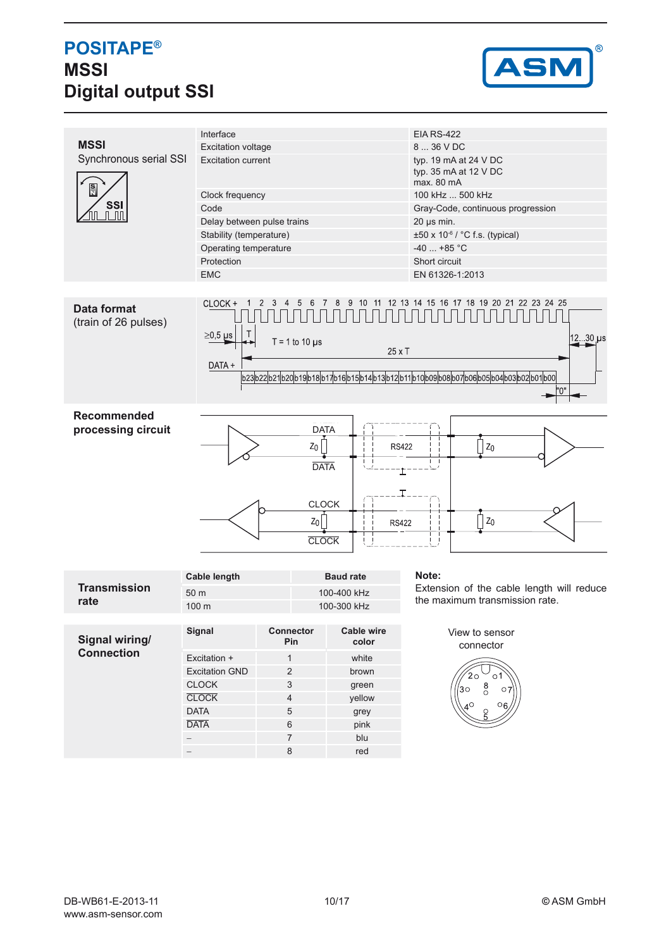# **POSITAPE® MSSI Digital output SSI**



|                                            | Interface                  |                                       |                            | <b>EIA RS-422</b>                                                                                      |  |  |
|--------------------------------------------|----------------------------|---------------------------------------|----------------------------|--------------------------------------------------------------------------------------------------------|--|--|
| <b>MSSI</b>                                | <b>Excitation voltage</b>  |                                       |                            | 8  36 V DC                                                                                             |  |  |
| Synchronous serial SSI                     | <b>Excitation current</b>  |                                       |                            | typ. 19 mA at 24 V DC<br>typ. 35 mA at 12 V DC<br>max. 80 mA                                           |  |  |
| $\frac{S}{N}$                              | Clock frequency            |                                       |                            | 100 kHz  500 kHz                                                                                       |  |  |
| <b>SSI</b>                                 | Code                       |                                       |                            | Gray-Code, continuous progression                                                                      |  |  |
|                                            | Delay between pulse trains |                                       |                            | $20 \mu s$ min.                                                                                        |  |  |
|                                            | Stability (temperature)    |                                       |                            | $\pm 50 \times 10^{-6}$ / °C f.s. (typical)                                                            |  |  |
|                                            | Operating temperature      |                                       |                            | $-40$ +85 °C                                                                                           |  |  |
|                                            | Protection                 |                                       |                            | Short circuit                                                                                          |  |  |
|                                            | <b>EMC</b>                 |                                       |                            | EN 61326-1:2013                                                                                        |  |  |
| <b>Data format</b><br>(train of 26 pulses) | CLOCK +<br>$\geq$ 0,5 µs   | $T = 1$ to 10 $\mu$ s                 | 12<br>11<br>$25 \times T$  | 22 23 24 25<br>13<br>18<br>19 20 21<br>-14<br>15<br>16<br>17<br>12 30 us                               |  |  |
|                                            | DATA +                     |                                       |                            | b23 b22 b21 b20 b19 b18 b17 b16 b15 b14 b13 b12 b11 b10 b09 b08 b07 b06 b05 b04 b03 b02 b01 b00 <br>"ח |  |  |
|                                            |                            |                                       |                            |                                                                                                        |  |  |
| <b>Recommended</b><br>processing circuit   |                            | <b>DATA</b><br>$z_0$<br><b>DATA</b>   | <b>RS422</b>               | $Z_0$                                                                                                  |  |  |
|                                            |                            | <b>CLOCK</b><br>$Z_0$<br><b>CLOCK</b> | <b>RS422</b>               | $Z_0$                                                                                                  |  |  |
|                                            |                            |                                       |                            |                                                                                                        |  |  |
| <b>Transmission</b>                        | <b>Cable length</b>        |                                       | <b>Baud rate</b>           | Note:                                                                                                  |  |  |
|                                            | 50 m                       |                                       | 100-400 kHz                | Extension of the cable length will reduce<br>the maximum transmission rate.                            |  |  |
| rate                                       | 100 m                      |                                       | 100-300 kHz                |                                                                                                        |  |  |
|                                            |                            |                                       |                            |                                                                                                        |  |  |
| Signal wiring/                             | Signal                     | Connector<br>Pin                      | <b>Cable wire</b><br>color | View to sensor                                                                                         |  |  |
| <b>Connection</b>                          |                            |                                       |                            | connector                                                                                              |  |  |
|                                            | Excitation +               | $\mathbf{1}$                          | white                      |                                                                                                        |  |  |
|                                            | <b>Excitation GND</b>      | $\sqrt{2}$                            | brown                      | 2٥<br>$\circ$ 1                                                                                        |  |  |
|                                            | <b>CLOCK</b>               | 3                                     | green                      | $_{\circ}^8$<br>30 <sup>o</sup><br>$\circ$ 7                                                           |  |  |
|                                            | <b>CLOCK</b>               | 4                                     | yellow                     | $\circ$ 6                                                                                              |  |  |
|                                            | <b>DATA</b><br><b>DATA</b> | 5                                     | grey                       |                                                                                                        |  |  |
|                                            |                            | 6                                     | <b>nink</b>                |                                                                                                        |  |  |

DATA 6 pink<br>- 7 blu − **7** blue **7** − **8** red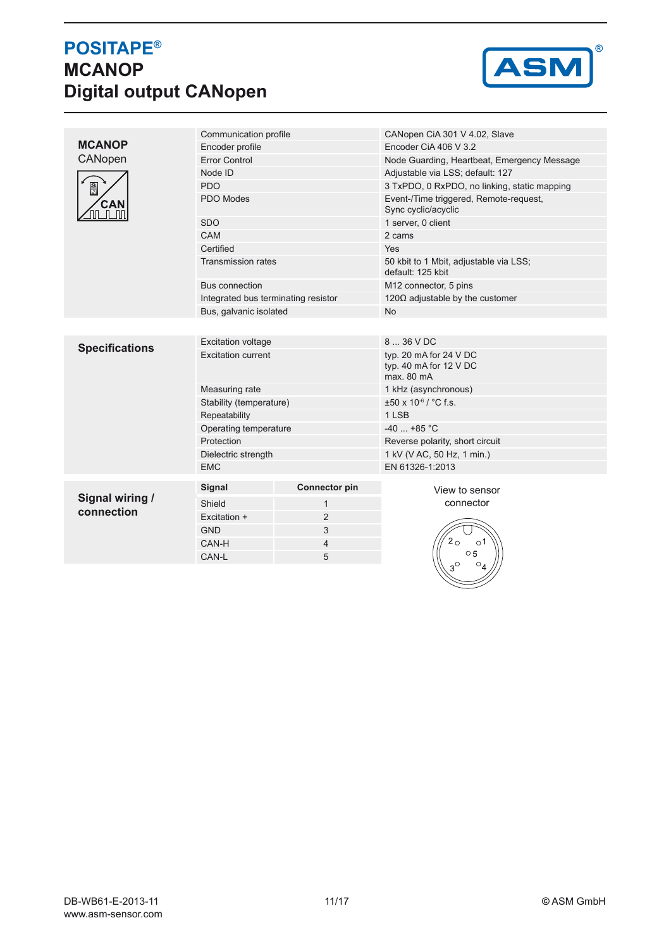# **POSITAPE® MCANOP Digital output CANopen**



|                       | Communication profile               |                      | CANopen CiA 301 V 4.02, Slave                                  |  |  |
|-----------------------|-------------------------------------|----------------------|----------------------------------------------------------------|--|--|
| <b>MCANOP</b>         | Encoder profile                     |                      | Encoder CiA 406 V 3.2                                          |  |  |
| CANopen               | <b>Error Control</b>                |                      | Node Guarding, Heartbeat, Emergency Message                    |  |  |
|                       | Node ID                             |                      | Adjustable via LSS; default: 127                               |  |  |
| $\frac{5}{11}$        | <b>PDO</b>                          |                      | 3 TxPDO, 0 RxPDO, no linking, static mapping                   |  |  |
| CAN                   | PDO Modes                           |                      | Event-/Time triggered, Remote-request,<br>Sync cyclic/acyclic  |  |  |
|                       | <b>SDO</b>                          |                      | 1 server, 0 client                                             |  |  |
|                       | CAM                                 |                      | 2 cams                                                         |  |  |
|                       | Certified                           |                      | Yes                                                            |  |  |
|                       | <b>Transmission rates</b>           |                      | 50 kbit to 1 Mbit, adjustable via LSS;<br>default: 125 kbit    |  |  |
|                       | Bus connection                      |                      | M12 connector, 5 pins                                          |  |  |
|                       | Integrated bus terminating resistor |                      | 120 $\Omega$ adjustable by the customer                        |  |  |
|                       | Bus, galvanic isolated              |                      | <b>No</b>                                                      |  |  |
|                       |                                     |                      |                                                                |  |  |
|                       | <b>Excitation voltage</b>           |                      | 8  36 V DC                                                     |  |  |
| <b>Specifications</b> | <b>Excitation current</b>           |                      | typ. 20 mA for 24 V DC<br>typ. 40 mA for 12 V DC<br>max. 80 mA |  |  |
|                       | Measuring rate                      |                      | 1 kHz (asynchronous)                                           |  |  |
|                       | Stability (temperature)             |                      | ±50 x 10-6 / °C f.s.                                           |  |  |
|                       | Repeatability                       |                      | 1 LSB                                                          |  |  |
|                       | Operating temperature               |                      | $-40$ +85 °C                                                   |  |  |
|                       | Protection                          |                      | Reverse polarity, short circuit                                |  |  |
|                       | Dielectric strength                 |                      | 1 kV (V AC, 50 Hz, 1 min.)                                     |  |  |
|                       | <b>EMC</b>                          |                      | EN 61326-1:2013                                                |  |  |
|                       | Signal                              | <b>Connector pin</b> | View to sensor                                                 |  |  |
| Signal wiring /       | Shield                              | $\mathbf{1}$         | connector                                                      |  |  |
| connection            | Excitation +                        | $\overline{2}$       |                                                                |  |  |
|                       | <b>GND</b>                          | 3                    |                                                                |  |  |
|                       | CAN-H                               | 4                    | $^{2}$ O<br>о1                                                 |  |  |
|                       | CAN-L                               | 5                    | $\circ$ 5                                                      |  |  |
|                       |                                     |                      |                                                                |  |  |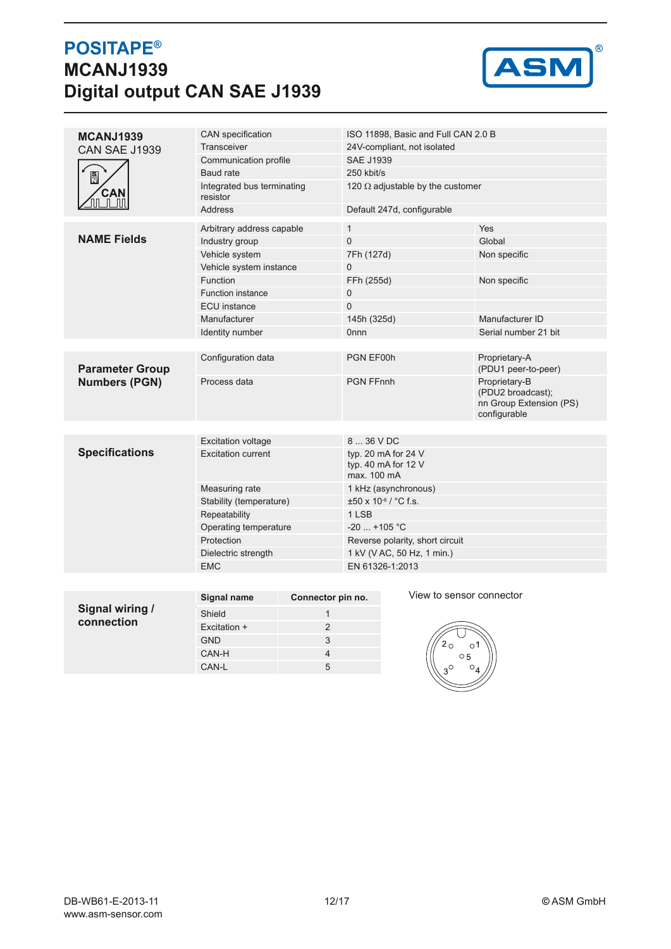## **POSITAPE® MCANJ1939 Digital output CAN SAE J1939**



|                               | CAN specification          |                   |                                         | ISO 11898, Basic and Full CAN 2.0 B                         |                                                                               |  |
|-------------------------------|----------------------------|-------------------|-----------------------------------------|-------------------------------------------------------------|-------------------------------------------------------------------------------|--|
| MCANJ1939                     | Transceiver                |                   | 24V-compliant, not isolated             |                                                             |                                                                               |  |
| <b>CAN SAE J1939</b>          | Communication profile      |                   | <b>SAE J1939</b>                        |                                                             |                                                                               |  |
|                               | Baud rate                  |                   | 250 kbit/s                              |                                                             |                                                                               |  |
| $\frac{S}{N}$                 | Integrated bus terminating |                   | 120 $\Omega$ adjustable by the customer |                                                             |                                                                               |  |
| <b>CAN</b>                    | resistor                   |                   |                                         |                                                             |                                                                               |  |
| யப்பா                         | <b>Address</b>             |                   |                                         | Default 247d, configurable                                  |                                                                               |  |
|                               | Arbitrary address capable  |                   | $\mathbf{1}$                            |                                                             | Yes                                                                           |  |
| <b>NAME Fields</b>            | Industry group             |                   | $\overline{0}$                          |                                                             | Global                                                                        |  |
|                               | Vehicle system             |                   | 7Fh (127d)                              |                                                             | Non specific                                                                  |  |
|                               | Vehicle system instance    |                   | 0                                       |                                                             |                                                                               |  |
|                               | <b>Function</b>            |                   | FFh (255d)                              |                                                             | Non specific                                                                  |  |
|                               | <b>Function instance</b>   |                   | 0                                       |                                                             |                                                                               |  |
|                               | <b>ECU</b> instance        |                   | 0                                       |                                                             |                                                                               |  |
|                               | Manufacturer               |                   |                                         | 145h (325d)                                                 | Manufacturer ID                                                               |  |
|                               | Identity number            |                   | <b>Onnn</b>                             |                                                             | Serial number 21 bit                                                          |  |
|                               |                            |                   |                                         |                                                             |                                                                               |  |
| <b>Parameter Group</b>        | Configuration data         |                   | PGN EF00h                               |                                                             | Proprietary-A<br>(PDU1 peer-to-peer)                                          |  |
| <b>Numbers (PGN)</b>          | Process data               |                   | <b>PGN FFnnh</b>                        |                                                             | Proprietary-B<br>(PDU2 broadcast);<br>nn Group Extension (PS)<br>configurable |  |
|                               |                            |                   |                                         |                                                             |                                                                               |  |
|                               | <b>Excitation voltage</b>  |                   | 8  36 V DC                              |                                                             |                                                                               |  |
| <b>Specifications</b>         | <b>Excitation current</b>  |                   |                                         | typ. 20 mA for 24 V<br>typ. 40 mA for 12 $V$<br>max. 100 mA |                                                                               |  |
|                               | Measuring rate             |                   |                                         | 1 kHz (asynchronous)                                        |                                                                               |  |
|                               | Stability (temperature)    |                   | $\pm 50 \times 10^{-6}$ / °C f.s.       |                                                             |                                                                               |  |
|                               | Repeatability              |                   | 1 LSB                                   |                                                             |                                                                               |  |
|                               | Operating temperature      |                   | $-20$ +105 °C                           |                                                             |                                                                               |  |
|                               | Protection                 |                   |                                         | Reverse polarity, short circuit                             |                                                                               |  |
|                               | Dielectric strength        |                   |                                         | 1 kV (V AC, 50 Hz, 1 min.)                                  |                                                                               |  |
|                               | <b>EMC</b>                 |                   |                                         | EN 61326-1:2013                                             |                                                                               |  |
|                               |                            |                   |                                         |                                                             |                                                                               |  |
|                               | <b>Signal name</b>         | Connector pin no. |                                         | View to sensor connector                                    |                                                                               |  |
| Signal wiring /<br>connection | Shield                     | $\mathbf{1}$      |                                         |                                                             |                                                                               |  |
|                               | Excitation +               | $\overline{2}$    |                                         |                                                             |                                                                               |  |
|                               | <b>GND</b>                 | 3                 |                                         |                                                             | $\circ$ 1                                                                     |  |
|                               | CAN-H                      | 4                 |                                         | $\circ$ 5                                                   |                                                                               |  |
|                               | CAN-L                      | 5                 |                                         |                                                             | $\circ$                                                                       |  |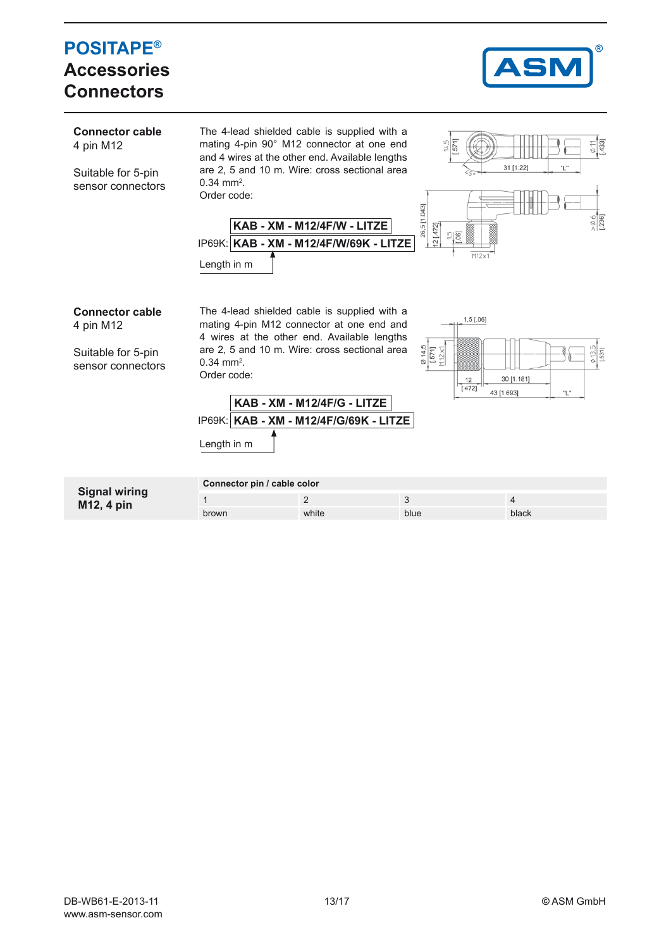#### **POSITAPE®** S **Accessories ConnectorsConnector cable** The 4-lead shielded cable is supplied with a mating 4-pin 90° M12 connector at one end 4331 4 pin M12 and 4 wires at the other end. Available lengths are 2, 5 and 10 m. Wire: cross sectional area 31 [1.22 Suitable for 5-pin  $0.34 \text{ mm}^2$ . sensor connectors Order code: 26,5 [1.043] **KAB - XM - M12/4F/W - LITZE**  $12 [472]$ **KAB - XM - M12/4F/W/69K - LITZE** IP69K: Length in m **Connector cable** The 4-lead shielded cable is supplied with a  $1,5$  [.06] mating 4-pin M12 connector at one end and 4 pin M12 4 wires at the other end. Available lengths  $\frac{614,5}{571}$ <br>M12 x1 are 2, 5 and 10 m. Wire: cross sectional area Suitable for 5-pin  $0.34 \text{ mm}^2$ . sensor connectors Order code:  $12$ 30 [1.181]  $1.4721$ 43 [1.693] ٠Ļ **KAB - XM - M12/4F/G - LITZE KAB - XM - M12/4F/G/69K - LITZE** IP69K: Length in m **Connector pin / cable color Signal wiring** 1  $2$  3  $4$ **M12, 4 pin** brown white blue blue blue black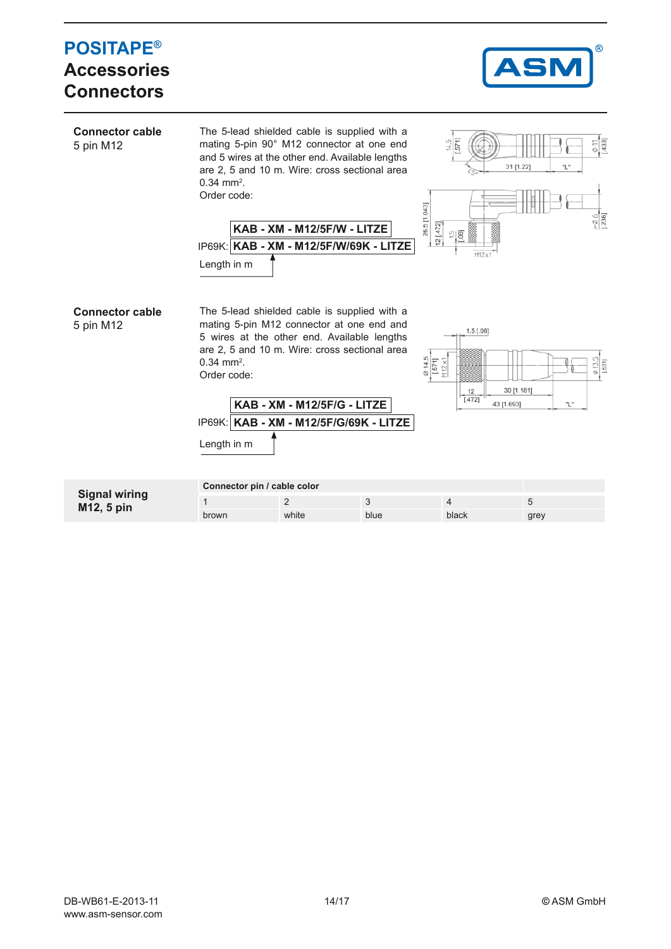| <b>POSITAPE®</b><br><b>Accessories</b><br><b>Connectors</b> |                                                        |                             |                                                                                                                                                                                                                                         |                                                                     |                                           | <b>ASM</b>        | ®                                               |
|-------------------------------------------------------------|--------------------------------------------------------|-----------------------------|-----------------------------------------------------------------------------------------------------------------------------------------------------------------------------------------------------------------------------------------|---------------------------------------------------------------------|-------------------------------------------|-------------------|-------------------------------------------------|
| <b>Connector cable</b><br>5 pin M12                         | $0.34$ mm <sup>2</sup> .<br>Order code:<br>Length in m | KAB - XM - M12/5F/W - LITZE | The 5-lead shielded cable is supplied with a<br>mating 5-pin 90° M12 connector at one end<br>and 5 wires at the other end. Available lengths<br>are 2, 5 and 10 m. Wire: cross sectional area<br>IP69K: KAB - XM - M12/5F/W/69K - LITZE | $\frac{14.5}{571}$<br>26,5 [1.043]<br>12 [.472]<br>$\frac{15}{100}$ | 31 [1.22]<br>M12x                         | "L                | $\frac{\frac{6}{11}}{1433}$<br>$\frac{6}{1236}$ |
| <b>Connector cable</b><br>5 pin M12                         | $0.34$ mm <sup>2</sup> .<br>Order code:<br>Length in m | KAB - XM - M12/5F/G - LITZE | The 5-lead shielded cable is supplied with a<br>mating 5-pin M12 connector at one end and<br>5 wires at the other end. Available lengths<br>are 2, 5 and 10 m. Wire: cross sectional area<br>IP69K:   KAB - XM - M12/5F/G/69K - LITZE   | $\frac{66}{1571}$<br>$M12 \times 1$                                 | $1,5$ [.06]<br>12<br>[.472]<br>43 [1.693] | 30 [1.181]<br>"L" | [.531]<br>ø 13.                                 |
| <b>Signal wiring</b>                                        | Connector pin / cable color                            |                             |                                                                                                                                                                                                                                         |                                                                     |                                           |                   |                                                 |
| M12, 5 pin                                                  | $\mathbf{1}$<br>brown                                  | $\overline{2}$<br>white     | 3<br>blue                                                                                                                                                                                                                               | 4<br>black                                                          |                                           | 5<br>grey         |                                                 |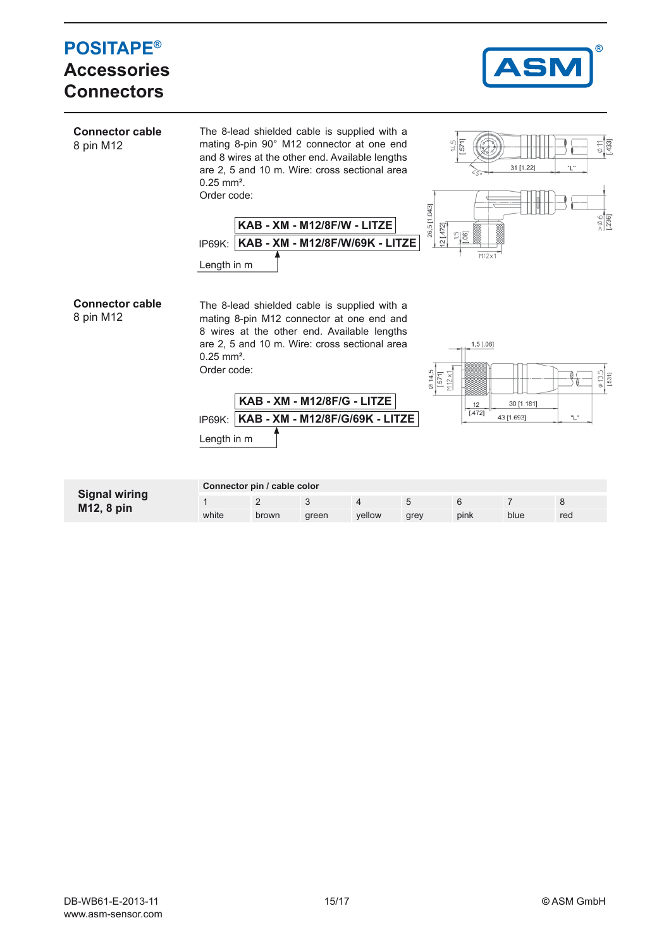#### **POSITAPE® Accessories Connectors Connector cable** The 8-lead shielded cable is supplied with a mating 8-pin 90° M12 connector at one end 8 pin M12 and 8 wires at the other end. Available lengths are 2, 5 and 10 m. Wire: cross sectional area 31 [1.22] 0.25 mm². Order code: 26,5 [1.043] **KAB - XM - M12/8F/W - LITZE**  $12 [472]$ LŊ, 061 **KAB - XM - M12/8F/W/69K - LITZE** IP69K: Length in m **Connector cable** The 8-lead shielded cable is supplied with a 8 pin M12 mating 8-pin M12 connector at one end and 8 wires at the other end. Available lengths are 2, 5 and 10 m. Wire: cross sectional area  $1,5$  [.06] 0.25 mm². Order code:  $571$  $112x$ **KAB - XM - M12/8F/G - LITZE** 30 [1.181]  $\frac{12}{[.472]}$ 43 [1.693] "L" **KAB - XM - M12/8F/G/69K - LITZE** IP69K: Length in m

| <b>Signal wiring</b><br>M12, 8 pin | Connector pin / cable color |       |       |        |      |      |      |     |
|------------------------------------|-----------------------------|-------|-------|--------|------|------|------|-----|
|                                    |                             |       |       |        |      |      |      |     |
|                                    | white                       | brown | areen | vellow | grey | pink | blue | red |

 $\frac{1}{331}$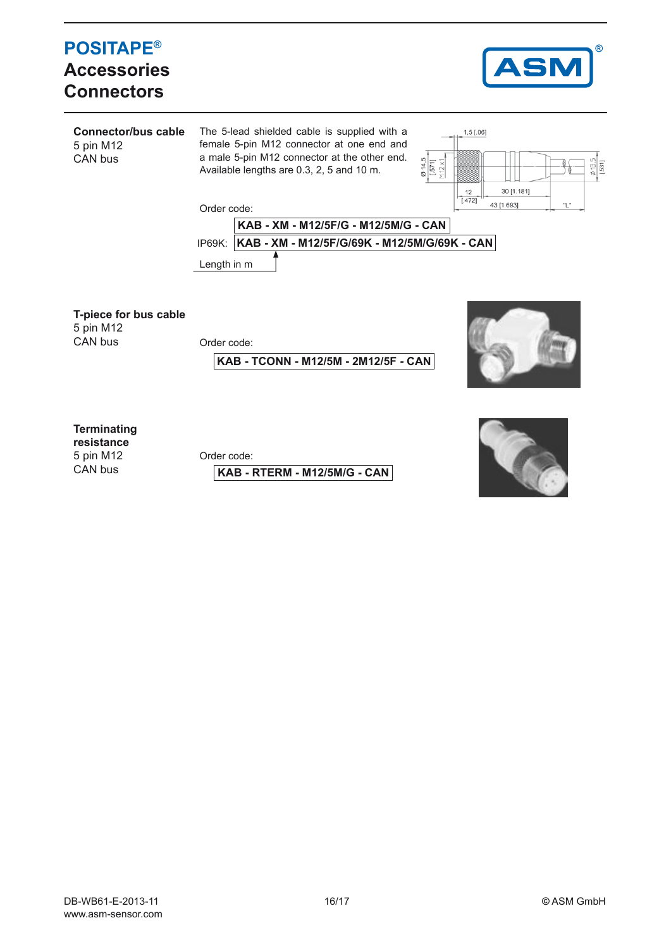## **POSITAPE® Accessories Connectors**



**Connector/bus cable** 5 pin M12 CAN bus The 5-lead shielded cable is supplied with a female 5-pin M12 connector at one end and a male 5-pin M12 connector at the other end. Available lengths are 0.3, 2, 5 and 10 m.



Order code:



**T-piece for bus cable**

5 pin M12<br>CAN bus

Order code:

**KAB - TCONN - M12/5M - 2M12/5F - CAN**



**Terminating**

**resistance** 5 pin M12 CAN bus

Order code:

**KAB - RTERM - M12/5M/G - CAN**